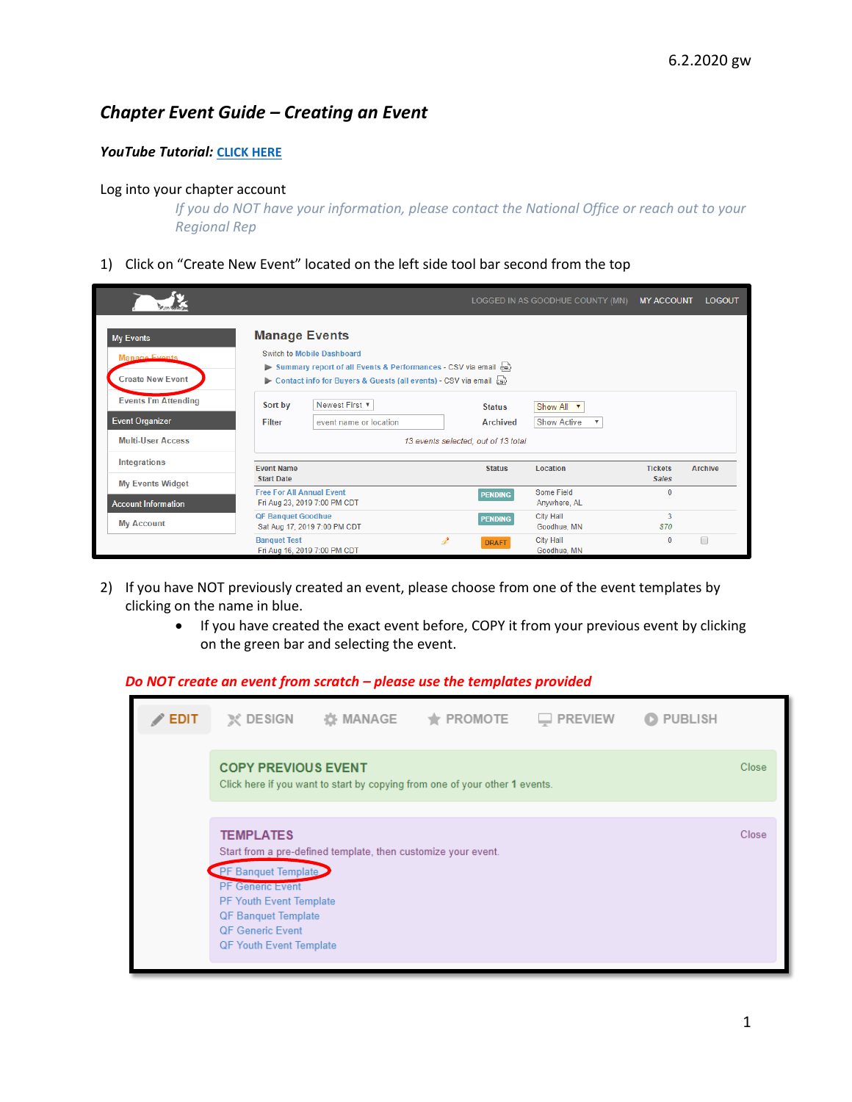# *Chapter Event Guide – Creating an Event*

## *YouTube Tutorial:* **[CLICK](https://www.youtube.com/watch?v=nifmRpAhEY8&list=PLoOX_tNUo44OCdOpNZOpx-jdKa2bZeZ4l&index=2&t=34s) HERE**

#### Log into your chapter account

*If you do NOT have your information, please contact the National Office or reach out to your Regional Rep*

1) Click on "Create New Event" located on the left side tool bar second from the top

|                                                              |                                                                                                                                                                                                              |                                     | LOGGED IN AS GOODHUE COUNTY (MN)                              | <b>MY ACCOUNT</b>              | <b>LOGOUT</b>  |
|--------------------------------------------------------------|--------------------------------------------------------------------------------------------------------------------------------------------------------------------------------------------------------------|-------------------------------------|---------------------------------------------------------------|--------------------------------|----------------|
| <b>My Events</b><br>Manage Events<br><b>Create New Event</b> | <b>Manage Events</b><br><b>Switch to Mobile Dashboard</b><br>Summary report of all Events & Performances - CSV via email $\frac{1}{50}$<br>Contact info for Buyers & Guests (all events) - CSV via email Esv |                                     |                                                               |                                |                |
| <b>Events I'm Attending</b><br><b>Event Organizer</b>        | Newest First ▼<br>Sort by<br>event name or location<br><b>Filter</b>                                                                                                                                         | <b>Status</b><br><b>Archived</b>    | Show All v<br><b>Show Active</b><br>$\boldsymbol{\mathrm{v}}$ |                                |                |
| <b>Multi-User Access</b>                                     |                                                                                                                                                                                                              | 13 events selected, out of 13 total |                                                               |                                |                |
| Integrations<br><b>My Events Widget</b>                      | <b>Event Name</b><br><b>Start Date</b>                                                                                                                                                                       | <b>Status</b>                       | Location                                                      | <b>Tickets</b><br><b>Sales</b> | <b>Archive</b> |
| <b>Account Information</b>                                   | <b>Free For All Annual Event</b><br>Fri Aug 23, 2019 7:00 PM CDT                                                                                                                                             | <b>PENDING</b>                      | Some Field<br>Anywhere, AL                                    | $\mathbf{0}$                   |                |
| <b>My Account</b>                                            | <b>QF Banquet Goodhue</b><br>Sat Aug 17, 2019 7:00 PM CDT                                                                                                                                                    | <b>PENDING</b>                      | <b>City Hall</b><br>Goodhue, MN                               | 3<br><b>S70</b>                |                |
|                                                              | <b>Banquet Test</b><br>Í<br>Fri Aug 16, 2019 7:00 PM CDT                                                                                                                                                     | <b>DRAFT</b>                        | <b>City Hall</b><br>Goodhue, MN                               | $\mathbf{0}$                   | □              |

- 2) If you have NOT previously created an event, please choose from one of the event templates by clicking on the name in blue.
	- If you have created the exact event before, COPY it from your previous event by clicking on the green bar and selecting the event.

|             |                                                                                         |                                                               | Do NOT create an event from scratch – please use the templates provided     |                |                          |       |
|-------------|-----------------------------------------------------------------------------------------|---------------------------------------------------------------|-----------------------------------------------------------------------------|----------------|--------------------------|-------|
| <b>EDIT</b> | $\chi$ DESIGN                                                                           | 资 MANAGE                                                      | $\bigstar$ PROMOTE                                                          | $\Box$ PREVIEW | <b>PUBLISH</b><br>$\Box$ |       |
|             | <b>COPY PREVIOUS EVENT</b>                                                              |                                                               | Click here if you want to start by copying from one of your other 1 events. |                |                          | Close |
|             | <b>TEMPLATES</b>                                                                        |                                                               |                                                                             |                |                          | Close |
|             | PF Banquet Template                                                                     | Start from a pre-defined template, then customize your event. |                                                                             |                |                          |       |
|             | <b>PF</b> Generic Event<br><b>PF Youth Event Template</b><br><b>QF Banquet Template</b> |                                                               |                                                                             |                |                          |       |
|             | <b>QF Generic Event</b><br><b>QF Youth Event Template</b>                               |                                                               |                                                                             |                |                          |       |
|             |                                                                                         |                                                               |                                                                             |                |                          |       |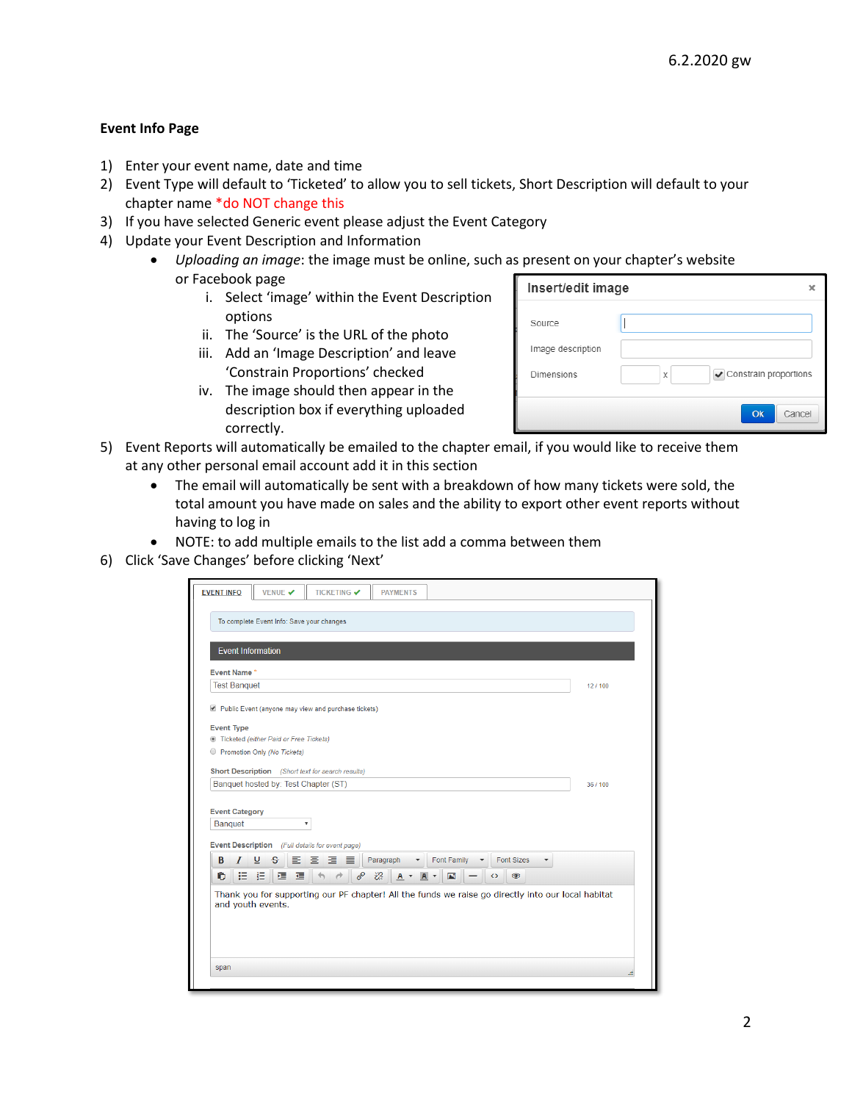## **Event Info Page**

- 1) Enter your event name, date and time
- 2) Event Type will default to 'Ticketed' to allow you to sell tickets, Short Description will default to your chapter name \*do NOT change this
- 3) If you have selected Generic event please adjust the Event Category
- 4) Update your Event Description and Information
	- *Uploading an image*: the image must be online, such as present on your chapter's website or Facebook page
		- i. Select 'image' within the Event Description options
		- ii. The 'Source' is the URL of the photo
		- iii. Add an 'Image Description' and leave 'Constrain Proportions' checked
		- iv. The image should then appear in the description box if everything uploaded correctly.

| Insert/edit image |   |                       |        |
|-------------------|---|-----------------------|--------|
| Source            |   |                       |        |
| Image description |   |                       |        |
| Dimensions        | X | Constrain proportions |        |
|                   |   | Ok                    | Cancel |

- 5) Event Reports will automatically be emailed to the chapter email, if you would like to receive them at any other personal email account add it in this section
	- The email will automatically be sent with a breakdown of how many tickets were sold, the total amount you have made on sales and the ability to export other event reports without having to log in
	- NOTE: to add multiple emails to the list add a comma between them
- 6) Click 'Save Changes' before clicking 'Next'

| <b>Event Name*</b><br><b>Test Banquet</b> |                                                                                                                                                                                                    | 12/100   |
|-------------------------------------------|----------------------------------------------------------------------------------------------------------------------------------------------------------------------------------------------------|----------|
|                                           |                                                                                                                                                                                                    |          |
|                                           | Public Event (anyone may view and purchase tickets)                                                                                                                                                |          |
| <b>Event Type</b>                         |                                                                                                                                                                                                    |          |
|                                           | lacketed (either Paid or Free Tickets)                                                                                                                                                             |          |
|                                           | Promotion Only (No Tickets)                                                                                                                                                                        |          |
|                                           | <b>Short Description</b> (Short text for search results)                                                                                                                                           |          |
|                                           | Banquet hosted by: Test Chapter (ST)                                                                                                                                                               | 36 / 100 |
|                                           |                                                                                                                                                                                                    |          |
| <b>Event Category</b>                     |                                                                                                                                                                                                    |          |
| <b>Banquet</b>                            | $\boldsymbol{\mathrm{v}}$                                                                                                                                                                          |          |
|                                           | Event Description (Full details for event page)                                                                                                                                                    |          |
|                                           |                                                                                                                                                                                                    |          |
|                                           |                                                                                                                                                                                                    |          |
| B<br>T<br>Ĥ,                              | E E E E<br>Paragraph<br>Font Family<br><b>Font Sizes</b><br>⊻<br>$\mathcal{S}$<br>挂 扫<br>ℰ<br>恣<br>逼。<br>恒<br>$\rightarrow$<br>E<br>$\circledcirc$<br>$A -$<br>$\overline{A}$<br>$\leftrightarrow$ |          |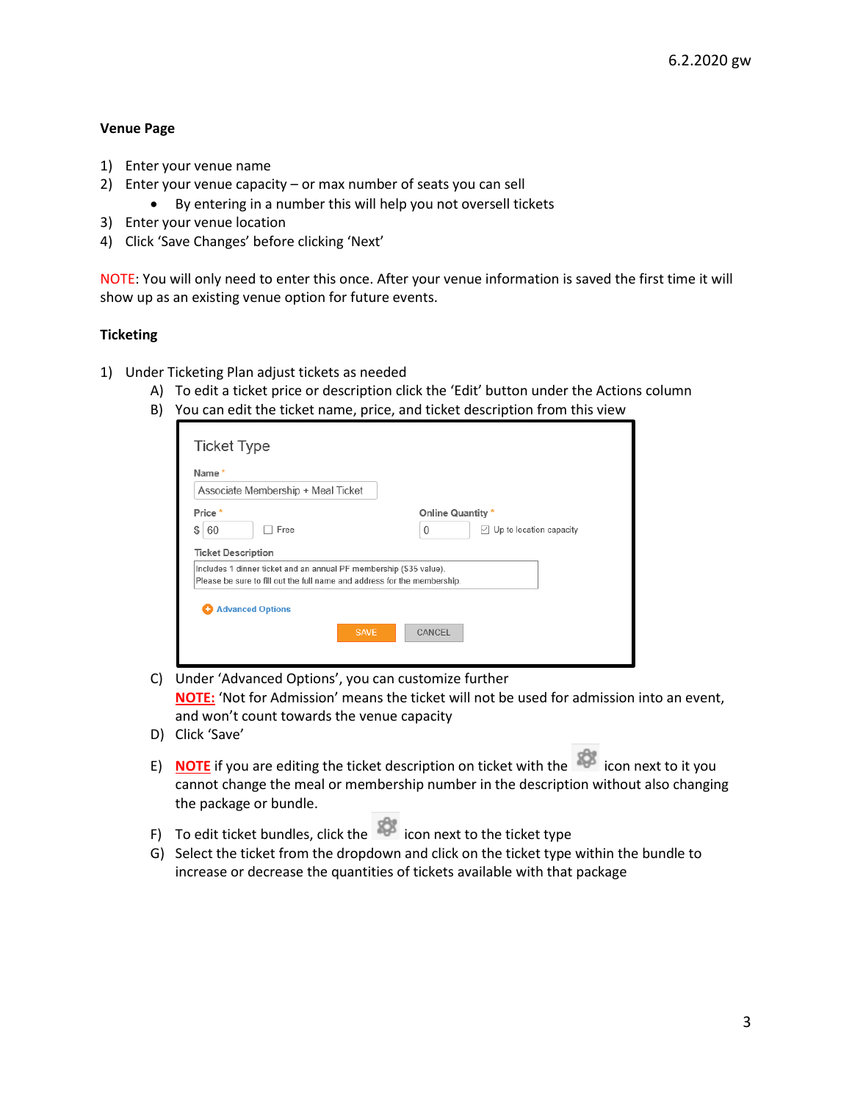## **Venue Page**

- 1) Enter your venue name
- 2) Enter your venue capacity or max number of seats you can sell
	- By entering in a number this will help you not oversell tickets
- 3) Enter your venue location
- 4) Click 'Save Changes' before clicking 'Next'

NOTE: You will only need to enter this once. After your venue information is saved the first time it will show up as an existing venue option for future events.

#### **Ticketing**

- 1) Under Ticketing Plan adjust tickets as needed
	- A) To edit a ticket price or description click the 'Edit' button under the Actions column
	- B) You can edit the ticket name, price, and ticket description from this view

| Online Quantity *<br>60<br>Free<br>$\mathbf{0}$                          | $\vee$ Up to location capacity                                           | Name*                              |  |
|--------------------------------------------------------------------------|--------------------------------------------------------------------------|------------------------------------|--|
|                                                                          | Please be sure to fill out the full name and address for the membership. | Associate Membership + Meal Ticket |  |
| \$<br>Includes 1 dinner ticket and an annual PF membership (\$35 value). |                                                                          | Price *                            |  |
| <b>Ticket Description</b>                                                |                                                                          |                                    |  |
|                                                                          |                                                                          |                                    |  |
|                                                                          |                                                                          | <b>Advanced Options</b><br>÷       |  |

- C) Under 'Advanced Options', you can customize further **NOTE:** 'Not for Admission' means the ticket will not be used for admission into an event, and won't count towards the venue capacity
- D) Click 'Save'
- E) **NOTE** if you are editing the ticket description on ticket with the **NOTE** icon next to it you cannot change the meal or membership number in the description without also changing the package or bundle.
- F) To edit ticket bundles, click the  $\sum$  icon next to the ticket type
- G) Select the ticket from the dropdown and click on the ticket type within the bundle to increase or decrease the quantities of tickets available with that package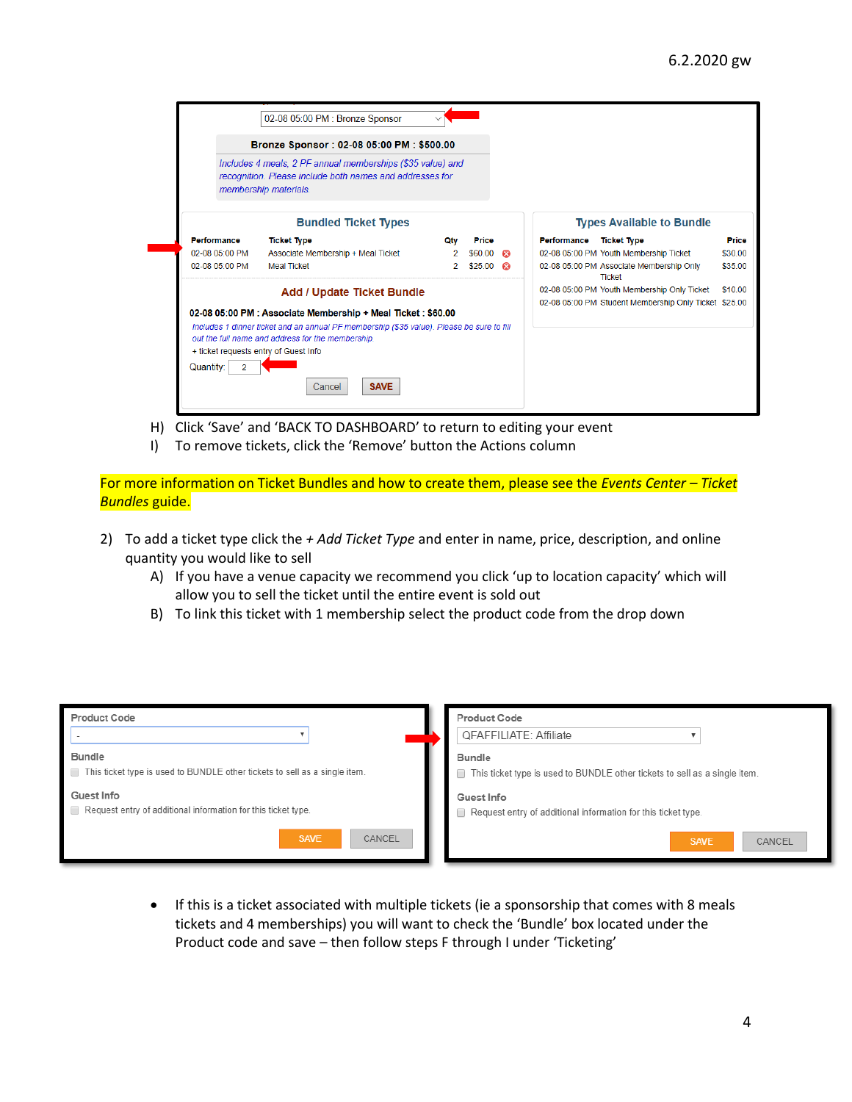|           |                    | Bronze Sponsor: 02-08 05:00 PM: \$500.00                                                                                                                                                                                                                 |     |                  |             |                                                           |         |
|-----------|--------------------|----------------------------------------------------------------------------------------------------------------------------------------------------------------------------------------------------------------------------------------------------------|-----|------------------|-------------|-----------------------------------------------------------|---------|
|           |                    | Includes 4 meals, 2 PF annual memberships (\$35 value) and<br>recognition. Please include both names and addresses for<br>membership materials.                                                                                                          |     |                  |             |                                                           |         |
|           |                    | <b>Bundled Ticket Types</b>                                                                                                                                                                                                                              |     |                  |             | <b>Types Available to Bundle</b>                          |         |
|           | <b>Performance</b> | <b>Ticket Type</b>                                                                                                                                                                                                                                       | Otv | Price            | Performance | <b>Ticket Type</b>                                        | Price   |
|           | 02-08 05:00 PM     | Associate Membership + Meal Ticket                                                                                                                                                                                                                       |     | $$60.00$ $$$     |             | 02-08 05:00 PM Youth Membership Ticket                    | \$30.00 |
|           | 02-08 05:00 PM     | <b>Meal Ticket</b>                                                                                                                                                                                                                                       |     | $$25.00$ $\odot$ |             | 02-08 05:00 PM Associate Membership Only<br><b>Ticket</b> | \$35.00 |
|           |                    | <b>Add / Update Ticket Bundle</b>                                                                                                                                                                                                                        |     |                  |             | 02-08 05:00 PM Youth Membership Only Ticket               | \$10.00 |
|           |                    | 02-08 05:00 PM : Associate Membership + Meal Ticket : \$60.00<br>Includes 1 dinner ticket and an annual PF membership (\$35 value). Please be sure to fill<br>out the full name and address for the membership.<br>+ ticket requests entry of Guest Info |     |                  |             | 02-08 05:00 PM Student Membership Only Ticket \$25.00     |         |
| Quantity: | 2                  |                                                                                                                                                                                                                                                          |     |                  |             |                                                           |         |
|           |                    |                                                                                                                                                                                                                                                          |     |                  |             |                                                           |         |

- H) Click 'Save' and 'BACK TO DASHBOARD' to return to editing your event
- I) To remove tickets, click the 'Remove' button the Actions column

For more information on Ticket Bundles and how to create them, please see the *Events Center – Ticket Bundles* guide.

- 2) To add a ticket type click the *+ Add Ticket Type* and enter in name, price, description, and online quantity you would like to sell
	- A) If you have a venue capacity we recommend you click 'up to location capacity' which will allow you to sell the ticket until the entire event is sold out
	- B) To link this ticket with 1 membership select the product code from the drop down

| <b>Product Code</b>                                                                         | Product Code<br><b>QFAFFILIATE: Affiliate</b>                                               |
|---------------------------------------------------------------------------------------------|---------------------------------------------------------------------------------------------|
| <b>Bundle</b><br>This ticket type is used to BUNDLE other tickets to sell as a single item. | <b>Bundle</b><br>This ticket type is used to BUNDLE other tickets to sell as a single item. |
| Guest Info<br>Request entry of additional information for this ticket type.                 | Guest Info<br>Request entry of additional information for this ticket type.                 |
| CANCEL<br><b>SAVE</b>                                                                       | <b>SAVE</b><br>CANCEL                                                                       |

• If this is a ticket associated with multiple tickets (ie a sponsorship that comes with 8 meals tickets and 4 memberships) you will want to check the 'Bundle' box located under the Product code and save – then follow steps F through I under 'Ticketing'